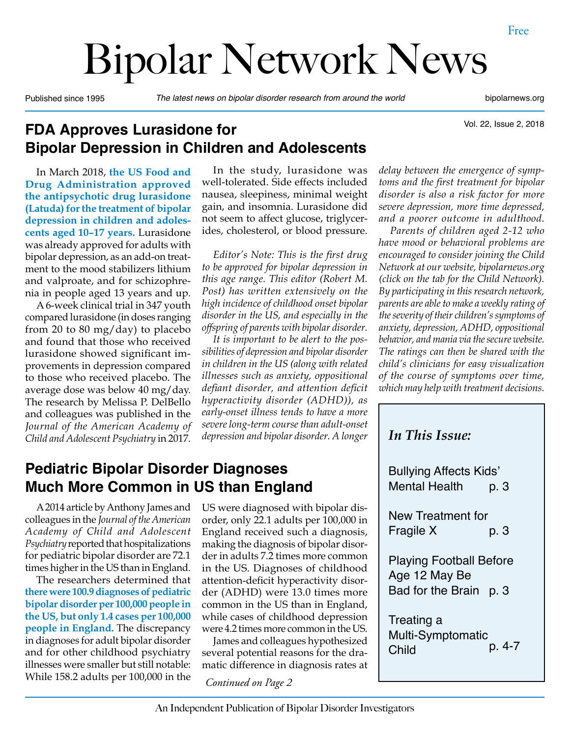# Bipolar Network News

Published since 1995 *The latest news on bipolar disorder research from around the world* bipolarnews.org

Vol. 22, Issue 2, 2018

## **FDA Approves Lurasidone for Bipolar Depression in Children and Adolescents**

In March 2018, **the US Food and Drug Administration approved the antipsychotic drug lurasidone (Latuda) for the treatment of bipolar depression in children and adolescents aged 10–17 years.** Lurasidone was already approved for adults with bipolar depression, as an add-on treatment to the mood stabilizers lithium and valproate, and for schizophrenia in people aged 13 years and up.

A 6-week clinical trial in 347 youth compared lurasidone (in doses ranging from 20 to 80 mg/day) to placebo and found that those who received lurasidone showed significant improvements in depression compared to those who received placebo. The average dose was below 40 mg/day. The research by Melissa P. DelBello and colleagues was published in the *Journal of the American Academy of Child and Adolescent Psychiatry* in 2017.

In the study, lurasidone was well-tolerated. Side effects included nausea, sleepiness, minimal weight gain, and insomnia. Lurasidone did not seem to affect glucose, triglycerides, cholesterol, or blood pressure.

*Editor's Note: This is the first drug to be approved for bipolar depression in this age range. This editor (Robert M. Post) has written extensively on the high incidence of childhood onset bipolar disorder in the US, and especially in the offspring of parents with bipolar disorder.*

*It is important to be alert to the possibilities of depression and bipolar disorder in children in the US (along with related illnesses such as anxiety, oppositional defiant disorder, and attention deficit hyperactivity disorder (ADHD)), as early-onset illness tends to have a more severe long-term course than adult-onset depression and bipolar disorder. A longer* 

## **Pediatric Bipolar Disorder Diagnoses Much More Common in US than England**

A 2014 article by Anthony James and colleagues in the *Journal of the American Academy of Child and Adolescent Psychiatry* reported that hospitalizations for pediatric bipolar disorder are 72.1 times higher in the US than in England.

The researchers determined that **there were 100.9 diagnoses of pediatric bipolar disorder per 100,000 people in the US, but only 1.4 cases per 100,000 people in England.** The discrepancy in diagnoses for adult bipolar disorder and for other childhood psychiatry illnesses were smaller but still notable: While 158.2 adults per 100,000 in the *Continued on Page 2*

US were diagnosed with bipolar disorder, only 22.1 adults per 100,000 in England received such a diagnosis, making the diagnosis of bipolar disorder in adults 7.2 times more common in the US. Diagnoses of childhood attention-deficit hyperactivity disorder (ADHD) were 13.0 times more common in the US than in England, while cases of childhood depression were 4.2 times more common in the US.

James and colleagues hypothesized several potential reasons for the dramatic difference in diagnosis rates at

*delay between the emergence of symptoms and the first treatment for bipolar disorder is also a risk factor for more severe depression, more time depressed, and a poorer outcome in adulthood.*

*Parents of children aged 2-12 who have mood or behavioral problems are encouraged to consider joining the Child Network at our website, bipolarnews.org (click on the tab for the Child Network). By participating in this research network, parents are able to make a weekly rating of the severity of their children's symptoms of anxiety, depression, ADHD, oppositional behavior, and mania via the secure website. The ratings can then be shared with the child's clinicians for easy visualization of the course of symptoms over time, which may help with treatment decisions.*

| <b>In This Issue:</b>                                                     |
|---------------------------------------------------------------------------|
| <b>Bullying Affects Kids'</b><br><b>Mental Health</b><br>р. З             |
| New Treatment for<br>Fragile X<br>p. 3                                    |
| <b>Playing Football Before</b><br>Age 12 May Be<br>Bad for the Brain p. 3 |
| Treating a<br><b>Multi-Symptomatic</b><br>p. 4-7<br>Child                 |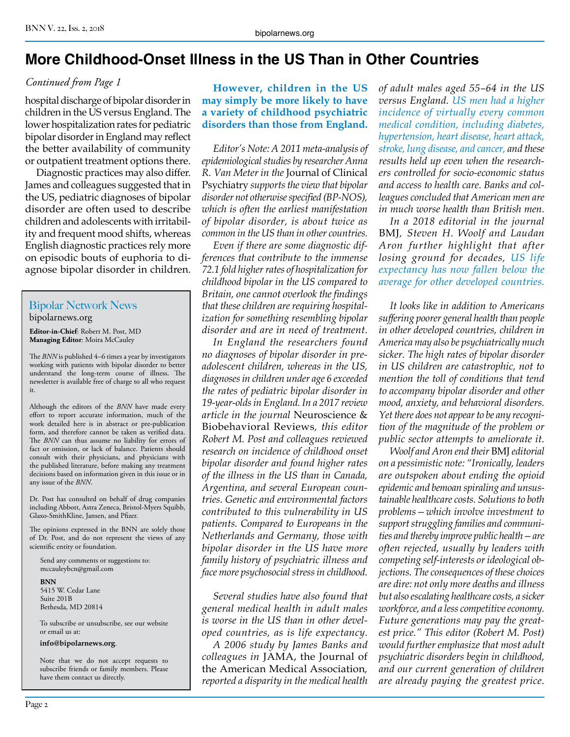## **More Childhood-Onset Illness in the US Than in Other Countries**

#### *Continued from Page 1*

hospital discharge of bipolar disorder in children in the US versus England. The lower hospitalization rates for pediatric bipolar disorder in England may reflect the better availability of community or outpatient treatment options there.

Diagnostic practices may also differ. James and colleagues suggested that in the US, pediatric diagnoses of bipolar disorder are often used to describe children and adolescents with irritability and frequent mood shifts, whereas English diagnostic practices rely more on episodic bouts of euphoria to diagnose bipolar disorder in children.

#### Bipolar Network News bipolarnews.org

**Editor-in-Chief**: Robert M. Post, MD **Managing Editor**: Moira McCauley

The *BNN* is published 4–6 times a year by investigators working with patients with bipolar disorder to better understand the long-term course of illness. The newsletter is available free of charge to all who request it.

Although the editors of the *BNN* have made every effort to report accurate information, much of the work detailed here is in abstract or pre-publication form, and therefore cannot be taken as verified data. The *BNN* can thus assume no liability for errors of fact or omission, or lack of balance. Patients should consult with their physicians, and physicians with the published literature, before making any treatment decisions based on information given in this issue or in any issue of the *BNN*.

Dr. Post has consulted on behalf of drug companies including Abbott, Astra Zeneca, Bristol-Myers Squibb, Glaxo-SmithKline, Jansen, and Pfizer.

The opinions expressed in the BNN are solely those of Dr. Post, and do not represent the views of any scientific entity or foundation.

Send any comments or suggestions to: mccauleybcn@gmail.com

**BNN**

5415 W. Cedar Lane Suite 201B Bethesda, MD 20814

To subscribe or unsubscribe, see our website or email us at:

#### **info@bipolarnews.org**.

Note that we do not accept requests to subscribe friends or family members. Please have them contact us directly.

**However, children in the US may simply be more likely to have a variety of childhood psychiatric disorders than those from England.**

*Editor's Note: A 2011 meta-analysis of epidemiological studies by researcher Anna R. Van Meter in the* Journal of Clinical Psychiatry *supports the view that bipolar disorder not otherwise specified (BP-NOS), which is often the earliest manifestation of bipolar disorder, is about twice as common in the US than in other countries.*

*Even if there are some diagnostic differences that contribute to the immense 72.1 fold higher rates of hospitalization for childhood bipolar in the US compared to Britain, one cannot overlook the findings that these children are requiring hospitalization for something resembling bipolar disorder and are in need of treatment.*

*In England the researchers found no diagnoses of bipolar disorder in preadolescent children, whereas in the US, diagnoses in children under age 6 exceeded the rates of pediatric bipolar disorder in 19-year-olds in England. In a 2017 review article in the journal* Neuroscience & Biobehavioral Reviews*, this editor Robert M. Post and colleagues reviewed research on incidence of childhood onset bipolar disorder and found higher rates of the illness in the US than in Canada, Argentina, and several European countries. Genetic and environmental factors contributed to this vulnerability in US patients. Compared to Europeans in the Netherlands and Germany, those with bipolar disorder in the US have more family history of psychiatric illness and face more psychosocial stress in childhood.*

*Several studies have also found that general medical health in adult males is worse in the US than in other developed countries, as is life expectancy.*

*A 2006 study by James Banks and colleagues in* JAMA, the Journal of the American Medical Association*, reported a disparity in the medical health* 

*of adult males aged 55–64 in the US versus England. US men had a higher incidence of virtually every common medical condition, including diabetes, hypertension, heart disease, heart attack, stroke, lung disease, and cancer, and these results held up even when the researchers controlled for socio-economic status and access to health care. Banks and colleagues concluded that American men are in much worse health than British men.*

*In a 2018 editorial in the journal*  BMJ*, Steven H. Woolf and Laudan Aron further highlight that after losing ground for decades, US life expectancy has now fallen below the average for other developed countries.*

*It looks like in addition to Americans suffering poorer general health than people in other developed countries, children in America may also be psychiatrically much sicker. The high rates of bipolar disorder in US children are catastrophic, not to mention the toll of conditions that tend to accompany bipolar disorder and other mood, anxiety, and behavioral disorders. Yet there does not appear to be any recognition of the magnitude of the problem or public sector attempts to ameliorate it.* 

*Woolf and Aron end their* BMJ *editorial on a pessimistic note: "Ironically, leaders are outspoken about ending the opioid epidemic and bemoan spiraling and unsustainable healthcare costs. Solutions to both problems—which involve investment to support struggling families and communities and thereby improve public health—are often rejected, usually by leaders with competing self-interests or ideological objections. The consequences of these choices are dire: not only more deaths and illness but also escalating healthcare costs, a sicker workforce, and a less competitive economy. Future generations may pay the greatest price." This editor (Robert M. Post) would further emphasize that most adult psychiatric disorders begin in childhood, and our current generation of children are already paying the greatest price.*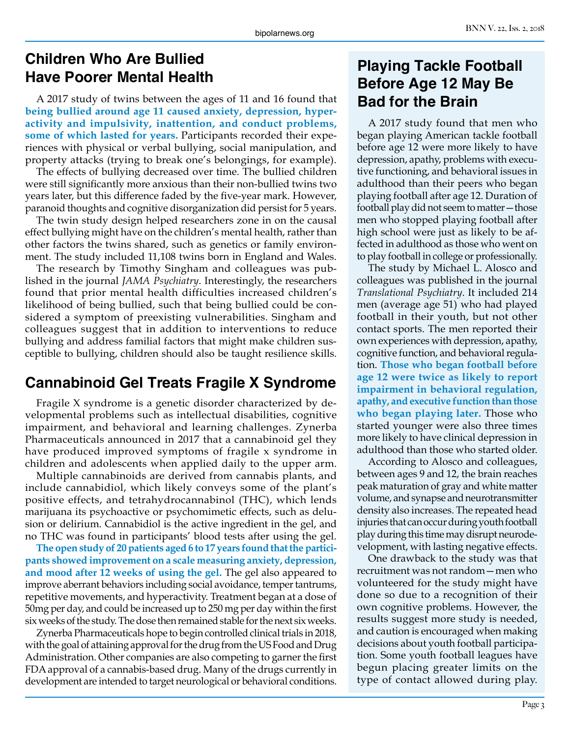## **Children Who Are Bullied Have Poorer Mental Health**

A 2017 study of twins between the ages of 11 and 16 found that **being bullied around age 11 caused anxiety, depression, hyperactivity and impulsivity, inattention, and conduct problems, some of which lasted for years.** Participants recorded their experiences with physical or verbal bullying, social manipulation, and property attacks (trying to break one's belongings, for example).

The effects of bullying decreased over time. The bullied children were still significantly more anxious than their non-bullied twins two years later, but this difference faded by the five-year mark. However, paranoid thoughts and cognitive disorganization did persist for 5 years.

The twin study design helped researchers zone in on the causal effect bullying might have on the children's mental health, rather than other factors the twins shared, such as genetics or family environment. The study included 11,108 twins born in England and Wales.

The research by Timothy Singham and colleagues was published in the journal *JAMA Psychiatry*. Interestingly, the researchers found that prior mental health difficulties increased children's likelihood of being bullied, such that being bullied could be considered a symptom of preexisting vulnerabilities. Singham and colleagues suggest that in addition to interventions to reduce bullying and address familial factors that might make children susceptible to bullying, children should also be taught resilience skills.

## **Cannabinoid Gel Treats Fragile X Syndrome**

Fragile X syndrome is a genetic disorder characterized by developmental problems such as intellectual disabilities, cognitive impairment, and behavioral and learning challenges. Zynerba Pharmaceuticals announced in 2017 that a cannabinoid gel they have produced improved symptoms of fragile x syndrome in children and adolescents when applied daily to the upper arm.

Multiple cannabinoids are derived from cannabis plants, and include cannabidiol, which likely conveys some of the plant's positive effects, and tetrahydrocannabinol (THC), which lends marijuana its psychoactive or psychomimetic effects, such as delusion or delirium. Cannabidiol is the active ingredient in the gel, and no THC was found in participants' blood tests after using the gel.

**The open study of 20 patients aged 6 to 17 years found that the participants showed improvement on a scale measuring anxiety, depression, and mood after 12 weeks of using the gel.** The gel also appeared to improve aberrant behaviors including social avoidance, temper tantrums, repetitive movements, and hyperactivity. Treatment began at a dose of 50mg per day, and could be increased up to 250 mg per day within the first six weeks of the study. The dose then remained stable for the next six weeks.

Zynerba Pharmaceuticals hope to begin controlled clinical trials in 2018, with the goal of attaining approval for the drug from the US Food and Drug Administration. Other companies are also competing to garner the first FDA approval of a cannabis-based drug. Many of the drugs currently in development are intended to target neurological or behavioral conditions.

## **Playing Tackle Football Before Age 12 May Be Bad for the Brain**

A 2017 study found that men who began playing American tackle football before age 12 were more likely to have depression, apathy, problems with executive functioning, and behavioral issues in adulthood than their peers who began playing football after age 12. Duration of football play did not seem to matter—those men who stopped playing football after high school were just as likely to be affected in adulthood as those who went on to play football in college or professionally.

The study by Michael L. Alosco and colleagues was published in the journal *Translational Psychiatry*. It included 214 men (average age 51) who had played football in their youth, but not other contact sports. The men reported their own experiences with depression, apathy, cognitive function, and behavioral regulation. **Those who began football before age 12 were twice as likely to report impairment in behavioral regulation, apathy, and executive function than those who began playing later.** Those who started younger were also three times more likely to have clinical depression in adulthood than those who started older.

According to Alosco and colleagues, between ages 9 and 12, the brain reaches peak maturation of gray and white matter volume, and synapse and neurotransmitter density also increases. The repeated head injuries that can occur during youth football play during this time may disrupt neurodevelopment, with lasting negative effects.

One drawback to the study was that recruitment was not random—men who volunteered for the study might have done so due to a recognition of their own cognitive problems. However, the results suggest more study is needed, and caution is encouraged when making decisions about youth football participation. Some youth football leagues have begun placing greater limits on the type of contact allowed during play.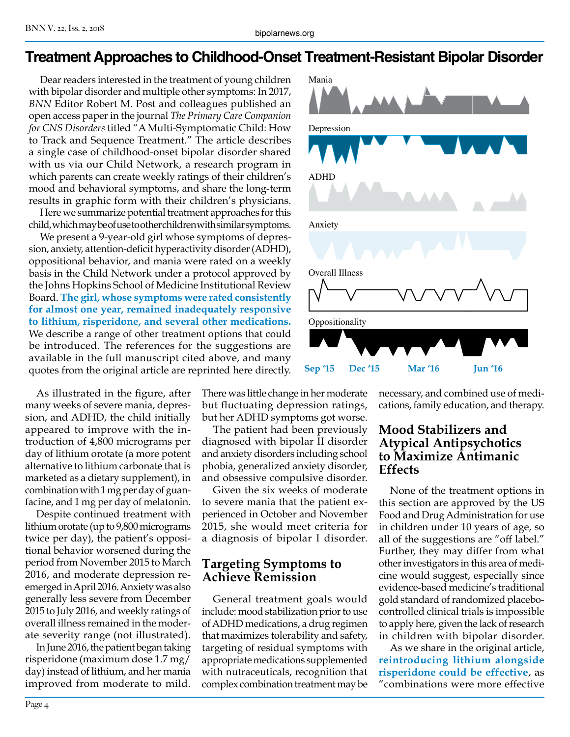## **Treatment Approaches to Childhood-Onset Treatment-Resistant Bipolar Disorder**

Dear readers interested in the treatment of young children with bipolar disorder and multiple other symptoms: In 2017, *BNN* Editor Robert M. Post and colleagues published an open access paper in the journal *The Primary Care Companion for CNS Disorders* titled "A Multi-Symptomatic Child: How to Track and Sequence Treatment." The article describes a single case of childhood-onset bipolar disorder shared with us via our Child Network, a research program in which parents can create weekly ratings of their children's mood and behavioral symptoms, and share the long-term results in graphic form with their children's physicians.

Here we summarize potential treatment approaches for this child, which may be of use to other children with similar symptoms.

We present a 9-year-old girl whose symptoms of depression, anxiety, attention-deficit hyperactivity disorder (ADHD), oppositional behavior, and mania were rated on a weekly basis in the Child Network under a protocol approved by the Johns Hopkins School of Medicine Institutional Review Board. **The girl, whose symptoms were rated consistently for almost one year, remained inadequately responsive to lithium, risperidone, and several other medications.** We describe a range of other treatment options that could be introduced. The references for the suggestions are available in the full manuscript cited above, and many quotes from the original article are reprinted here directly.

As illustrated in the figure, after many weeks of severe mania, depression, and ADHD, the child initially appeared to improve with the introduction of 4,800 micrograms per day of lithium orotate (a more potent alternative to lithium carbonate that is marketed as a dietary supplement), in combination with 1 mg per day of guanfacine, and 1 mg per day of melatonin.

Despite continued treatment with lithium orotate (up to 9,800 micrograms twice per day), the patient's oppositional behavior worsened during the period from November 2015 to March 2016, and moderate depression reemerged in April 2016. Anxiety was also generally less severe from December 2015 to July 2016, and weekly ratings of overall illness remained in the moderate severity range (not illustrated).

In June 2016, the patient began taking risperidone (maximum dose 1.7 mg/ day) instead of lithium, and her mania improved from moderate to mild.



The patient had been previously diagnosed with bipolar II disorder and anxiety disorders including school phobia, generalized anxiety disorder, and obsessive compulsive disorder.

Given the six weeks of moderate to severe mania that the patient experienced in October and November 2015, she would meet criteria for a diagnosis of bipolar I disorder.

#### **Targeting Symptoms to Achieve Remission**

General treatment goals would include: mood stabilization prior to use of ADHD medications, a drug regimen that maximizes tolerability and safety, targeting of residual symptoms with appropriate medications supplemented with nutraceuticals, recognition that complex combination treatment may be



necessary, and combined use of medications, family education, and therapy.

#### **Mood Stabilizers and Atypical Antipsychotics to Maximize Antimanic Effects**

None of the treatment options in this section are approved by the US Food and Drug Administration for use in children under 10 years of age, so all of the suggestions are "off label." Further, they may differ from what other investigators in this area of medicine would suggest, especially since evidence-based medicine's traditional gold standard of randomized placebocontrolled clinical trials is impossible to apply here, given the lack of research in children with bipolar disorder.

As we share in the original article, **reintroducing lithium alongside risperidone could be effective**, as "combinations were more effective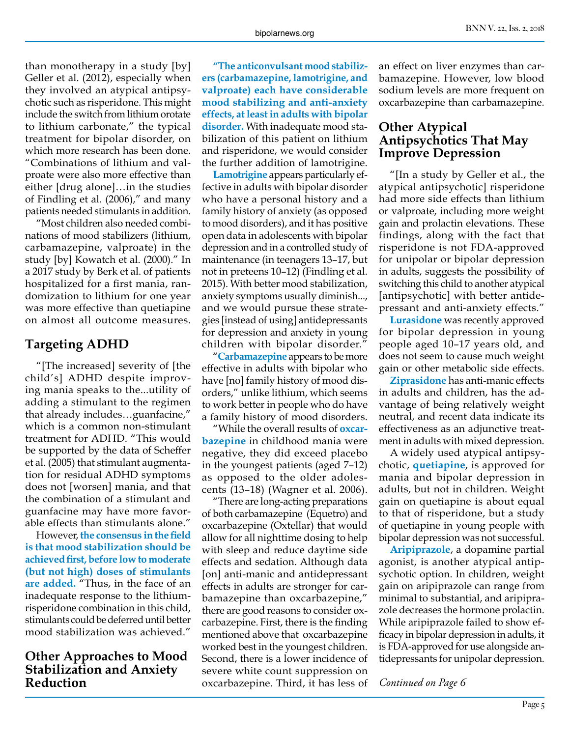than monotherapy in a study [by] Geller et al. (2012), especially when they involved an atypical antipsychotic such as risperidone. This might include the switch from lithium orotate to lithium carbonate," the typical treatment for bipolar disorder, on which more research has been done. "Combinations of lithium and valproate were also more effective than either [drug alone]…in the studies of Findling et al. (2006)," and many patients needed stimulants in addition.

"Most children also needed combinations of mood stabilizers (lithium, carbamazepine, valproate) in the study [by] Kowatch et al. (2000)." In a 2017 study by Berk et al. of patients hospitalized for a first mania, randomization to lithium for one year was more effective than quetiapine on almost all outcome measures.

#### **Targeting ADHD**

"[The increased] severity of [the child's] ADHD despite improving mania speaks to the...utility of adding a stimulant to the regimen that already includes…guanfacine," which is a common non-stimulant treatment for ADHD. "This would be supported by the data of Scheffer et al. (2005) that stimulant augmentation for residual ADHD symptoms does not [worsen] mania, and that the combination of a stimulant and guanfacine may have more favorable effects than stimulants alone."

However, **the consensus in the field is that mood stabilization should be achieved first, before low to moderate (but not high) doses of stimulants are added.** "Thus, in the face of an inadequate response to the lithiumrisperidone combination in this child, stimulants could be deferred until better mood stabilization was achieved."

#### **Other Approaches to Mood Stabilization and Anxiety Reduction**

**"The anticonvulsant mood stabilizers (carbamazepine, lamotrigine, and valproate) each have considerable mood stabilizing and anti-anxiety effects, at least in adults with bipolar disorder.** With inadequate mood stabilization of this patient on lithium and risperidone, we would consider the further addition of lamotrigine.

**Lamotrigine** appears particularly effective in adults with bipolar disorder who have a personal history and a family history of anxiety (as opposed to mood disorders), and it has positive open data in adolescents with bipolar depression and in a controlled study of maintenance (in teenagers 13–17, but not in preteens 10–12) (Findling et al. 2015). With better mood stabilization, anxiety symptoms usually diminish..., and we would pursue these strategies [instead of using] antidepressants for depression and anxiety in young children with bipolar disorder."

"**Carbamazepine** appears to be more effective in adults with bipolar who have [no] family history of mood disorders," unlike lithium, which seems to work better in people who do have a family history of mood disorders.

"While the overall results of **oxcarbazepine** in childhood mania were negative, they did exceed placebo in the youngest patients (aged 7–12) as opposed to the older adolescents (13–18) (Wagner et al. 2006).

"There are long-acting preparations of both carbamazepine (Equetro) and oxcarbazepine (Oxtellar) that would allow for all nighttime dosing to help with sleep and reduce daytime side effects and sedation. Although data [on] anti-manic and antidepressant effects in adults are stronger for carbamazepine than oxcarbazepine," there are good reasons to consider oxcarbazepine. First, there is the finding mentioned above that oxcarbazepine worked best in the youngest children. Second, there is a lower incidence of severe white count suppression on oxcarbazepine. Third, it has less of

an effect on liver enzymes than carbamazepine. However, low blood sodium levels are more frequent on oxcarbazepine than carbamazepine.

#### **Other Atypical Antipsychotics That May Improve Depression**

"[In a study by Geller et al., the atypical antipsychotic] risperidone had more side effects than lithium or valproate, including more weight gain and prolactin elevations. These findings, along with the fact that risperidone is not FDA-approved for unipolar or bipolar depression in adults, suggests the possibility of switching this child to another atypical [antipsychotic] with better antidepressant and anti-anxiety effects."

**Lurasidone** was recently approved for bipolar depression in young people aged 10–17 years old, and does not seem to cause much weight gain or other metabolic side effects.

**Ziprasidone** has anti-manic effects in adults and children, has the advantage of being relatively weight neutral, and recent data indicate its effectiveness as an adjunctive treatment in adults with mixed depression.

A widely used atypical antipsychotic, **quetiapine**, is approved for mania and bipolar depression in adults, but not in children. Weight gain on quetiapine is about equal to that of risperidone, but a study of quetiapine in young people with bipolar depression was not successful.

**Aripiprazole**, a dopamine partial agonist, is another atypical antipsychotic option. In children, weight gain on aripiprazole can range from minimal to substantial, and aripiprazole decreases the hormone prolactin. While aripiprazole failed to show efficacy in bipolar depression in adults, it is FDA-approved for use alongside antidepressants for unipolar depression.

*Continued on Page 6*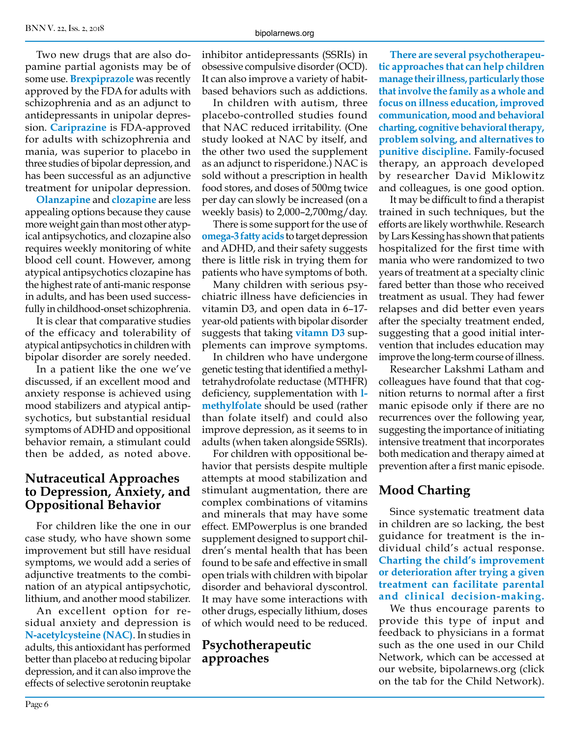Two new drugs that are also dopamine partial agonists may be of some use. **Brexpiprazole** was recently approved by the FDA for adults with schizophrenia and as an adjunct to antidepressants in unipolar depression. **Cariprazine** is FDA-approved for adults with schizophrenia and mania, was superior to placebo in three studies of bipolar depression, and has been successful as an adjunctive treatment for unipolar depression.

**Olanzapine** and **clozapine** are less appealing options because they cause more weight gain than most other atypical antipsychotics, and clozapine also requires weekly monitoring of white blood cell count. However, among atypical antipsychotics clozapine has the highest rate of anti-manic response in adults, and has been used successfully in childhood-onset schizophrenia.

It is clear that comparative studies of the efficacy and tolerability of atypical antipsychotics in children with bipolar disorder are sorely needed.

In a patient like the one we've discussed, if an excellent mood and anxiety response is achieved using mood stabilizers and atypical antipsychotics, but substantial residual symptoms of ADHD and oppositional behavior remain, a stimulant could then be added, as noted above.

#### **Nutraceutical Approaches to Depression, Anxiety, and Oppositional Behavior**

For children like the one in our case study, who have shown some improvement but still have residual symptoms, we would add a series of adjunctive treatments to the combination of an atypical antipsychotic, lithium, and another mood stabilizer.

An excellent option for residual anxiety and depression is **N-acetylcysteine (NAC)**. In studies in adults, this antioxidant has performed better than placebo at reducing bipolar depression, and it can also improve the effects of selective serotonin reuptake inhibitor antidepressants (SSRIs) in obsessive compulsive disorder (OCD). It can also improve a variety of habitbased behaviors such as addictions.

In children with autism, three placebo-controlled studies found that NAC reduced irritability. (One study looked at NAC by itself, and the other two used the supplement as an adjunct to risperidone.) NAC is sold without a prescription in health food stores, and doses of 500mg twice per day can slowly be increased (on a weekly basis) to 2,000–2,700mg/day.

There is some support for the use of **omega-3 fatty acids** to target depression and ADHD, and their safety suggests there is little risk in trying them for patients who have symptoms of both.

Many children with serious psychiatric illness have deficiencies in vitamin D3, and open data in 6–17 year-old patients with bipolar disorder suggests that taking **vitamn D3** supplements can improve symptoms.

In children who have undergone genetic testing that identified a methyltetrahydrofolate reductase (MTHFR) deficiency, supplementation with **lmethylfolate** should be used (rather than folate itself) and could also improve depression, as it seems to in adults (when taken alongside SSRIs).

For children with oppositional behavior that persists despite multiple attempts at mood stabilization and stimulant augmentation, there are complex combinations of vitamins and minerals that may have some effect. EMPowerplus is one branded supplement designed to support children's mental health that has been found to be safe and effective in small open trials with children with bipolar disorder and behavioral dyscontrol. It may have some interactions with other drugs, especially lithium, doses of which would need to be reduced.

#### **Psychotherapeutic approaches**

**There are several psychotherapeutic approaches that can help children manage their illness, particularly those that involve the family as a whole and focus on illness education, improved communication, mood and behavioral charting, cognitive behavioral therapy, problem solving, and alternatives to punitive discipline.** Family-focused therapy, an approach developed by researcher David Miklowitz and colleagues, is one good option.

It may be difficult to find a therapist trained in such techniques, but the efforts are likely worthwhile. Research by Lars Kessing has shown that patients hospitalized for the first time with mania who were randomized to two years of treatment at a specialty clinic fared better than those who received treatment as usual. They had fewer relapses and did better even years after the specialty treatment ended, suggesting that a good initial intervention that includes education may improve the long-term course of illness.

Researcher Lakshmi Latham and colleagues have found that that cognition returns to normal after a first manic episode only if there are no recurrences over the following year, suggesting the importance of initiating intensive treatment that incorporates both medication and therapy aimed at prevention after a first manic episode.

### **Mood Charting**

Since systematic treatment data in children are so lacking, the best guidance for treatment is the individual child's actual response. **Charting the child's improvement or deterioration after trying a given treatment can facilitate parental and clinical decision-making.**

We thus encourage parents to provide this type of input and feedback to physicians in a format such as the one used in our Child Network, which can be accessed at our website, bipolarnews.org (click on the tab for the Child Network).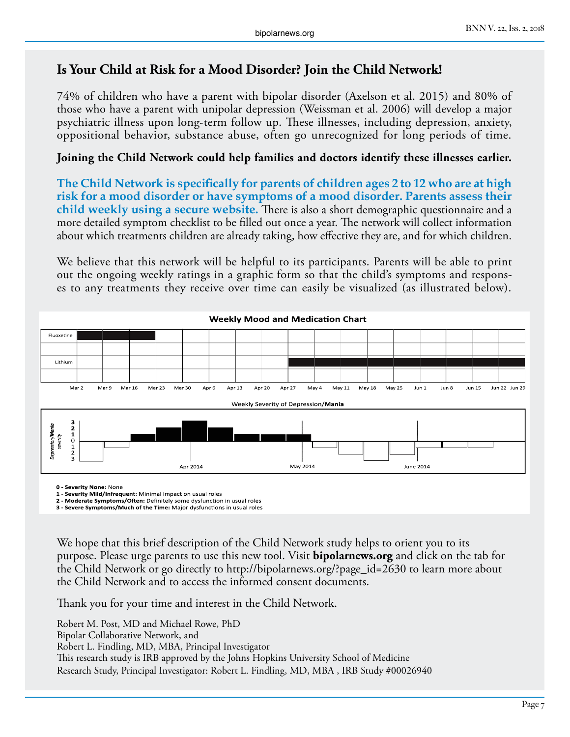#### **Is Your Child at Risk for a Mood Disorder? Join the Child Network!**

74% of children who have a parent with bipolar disorder (Axelson et al. 2015) and 80% of those who have a parent with unipolar depression (Weissman et al. 2006) will develop a major psychiatric illness upon long-term follow up. These illnesses, including depression, anxiety, oppositional behavior, substance abuse, often go unrecognized for long periods of time.

#### **Joining the Child Network could help families and doctors identify these illnesses earlier.**

**The Child Network is specifically for parents of children ages 2 to 12 who are at high risk for a mood disorder or have symptoms of a mood disorder. Parents assess their child weekly using a secure website.** There is also a short demographic questionnaire and a more detailed symptom checklist to be filled out once a year. The network will collect information about which treatments children are already taking, how effective they are, and for which children.

We believe that this network will be helpful to its participants. Parents will be able to print out the ongoing weekly ratings in a graphic form so that the child's symptoms and responses to any treatments they receive over time can easily be visualized (as illustrated below).



**0 - Severity None:** None

**1 - Severity Mild/Infrequent**: Minimal impact on usual roles

**2 - Moderate Symptoms/Often:** Definitely some dysfunction in usual roles **3 - Severe Symptoms/Much of the Time:** Major dysfunctions in usual roles

We hope that this brief description of the Child Network study helps to orient you to its purpose. Please urge parents to use this new tool. Visit **bipolarnews.org** and click on the tab for the Child Network or go directly to http://bipolarnews.org/?page\_id=2630 to learn more about the Child Network and to access the informed consent documents.

Thank you for your time and interest in the Child Network.

Robert M. Post, MD and Michael Rowe, PhD Bipolar Collaborative Network, and Robert L. Findling, MD, MBA, Principal Investigator This research study is IRB approved by the Johns Hopkins University School of Medicine Research Study, Principal Investigator: Robert L. Findling, MD, MBA , IRB Study #00026940